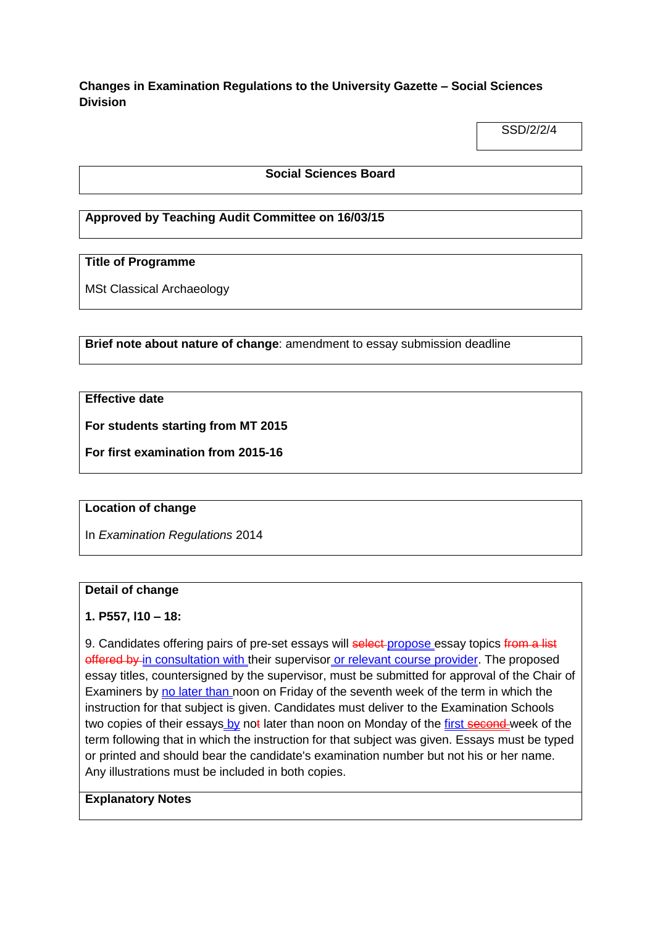# **Changes in Examination Regulations to the University Gazette – Social Sciences Division**

SSD/2/2/4

### **Social Sciences Board**

## **Approved by Teaching Audit Committee on 16/03/15**

# **Title of Programme**

MSt Classical Archaeology

**Brief note about nature of change**: amendment to essay submission deadline

### **Effective date**

**For students starting from MT 2015**

**For first examination from 2015-16**

### **Location of change**

In *Examination Regulations* 2014

#### **Detail of change**

### **1. P557, l10 – 18:**

9. Candidates offering pairs of pre-set essays will select-propose essay topics from a list offered by in consultation with their supervisor or relevant course provider. The proposed essay titles, countersigned by the supervisor, must be submitted for approval of the Chair of Examiners by no later than noon on Friday of the seventh week of the term in which the instruction for that subject is given. Candidates must deliver to the Examination Schools two copies of their essays by not later than noon on Monday of the first second week of the term following that in which the instruction for that subject was given. Essays must be typed or printed and should bear the candidate's examination number but not his or her name. Any illustrations must be included in both copies.

# **Explanatory Notes**